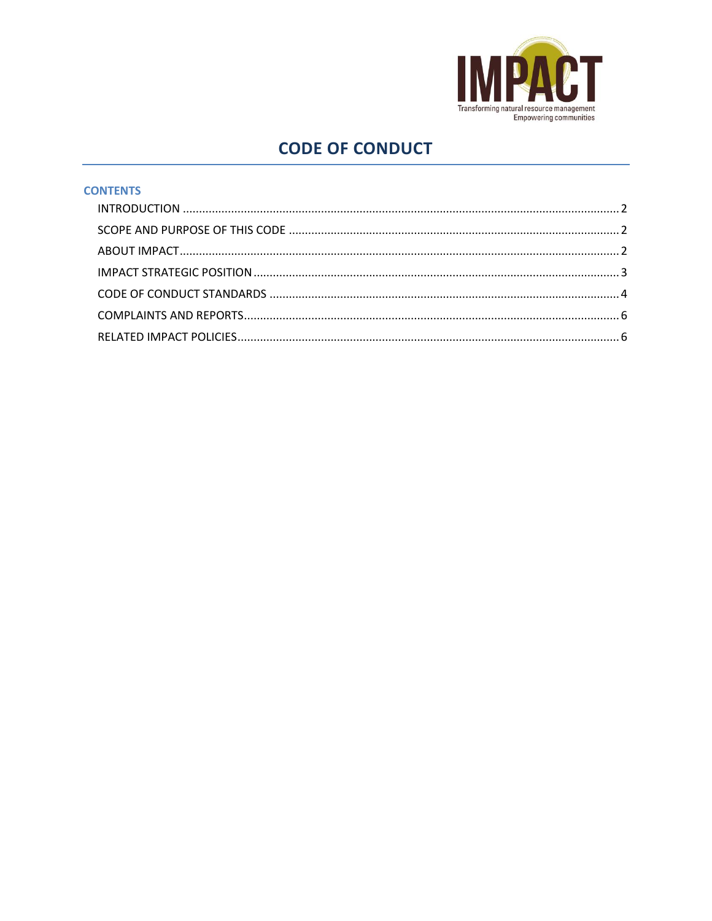

# **CODE OF CONDUCT**

## **CONTENTS**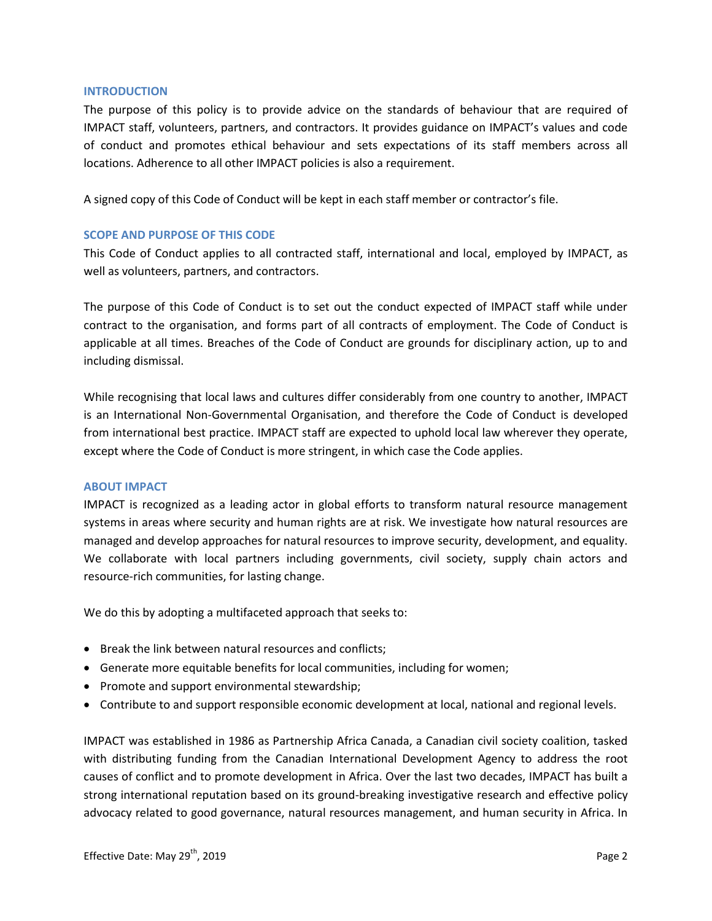#### <span id="page-1-0"></span>**INTRODUCTION**

The purpose of this policy is to provide advice on the standards of behaviour that are required of IMPACT staff, volunteers, partners, and contractors. It provides guidance on IMPACT's values and code of conduct and promotes ethical behaviour and sets expectations of its staff members across all locations. Adherence to all other IMPACT policies is also a requirement.

A signed copy of this Code of Conduct will be kept in each staff member or contractor's file.

#### <span id="page-1-1"></span>**SCOPE AND PURPOSE OF THIS CODE**

This Code of Conduct applies to all contracted staff, international and local, employed by IMPACT, as well as volunteers, partners, and contractors.

The purpose of this Code of Conduct is to set out the conduct expected of IMPACT staff while under contract to the organisation, and forms part of all contracts of employment. The Code of Conduct is applicable at all times. Breaches of the Code of Conduct are grounds for disciplinary action, up to and including dismissal.

While recognising that local laws and cultures differ considerably from one country to another, IMPACT is an International Non-Governmental Organisation, and therefore the Code of Conduct is developed from international best practice. IMPACT staff are expected to uphold local law wherever they operate, except where the Code of Conduct is more stringent, in which case the Code applies.

#### <span id="page-1-2"></span>**ABOUT IMPACT**

IMPACT is recognized as a leading actor in global efforts to transform natural resource management systems in areas where security and human rights are at risk. We investigate how natural resources are managed and develop approaches for natural resources to improve security, development, and equality. We collaborate with local partners including governments, civil society, supply chain actors and resource-rich communities, for lasting change.

We do this by adopting a multifaceted approach that seeks to:

- Break the link between natural resources and conflicts;
- Generate more equitable benefits for local communities, including for women;
- Promote and support environmental stewardship;
- Contribute to and support responsible economic development at local, national and regional levels.

IMPACT was established in 1986 as Partnership Africa Canada, a Canadian civil society coalition, tasked with distributing funding from the Canadian International Development Agency to address the root causes of conflict and to promote development in Africa. Over the last two decades, IMPACT has built a strong international reputation based on its ground-breaking investigative research and effective policy advocacy related to good governance, natural resources management, and human security in Africa. In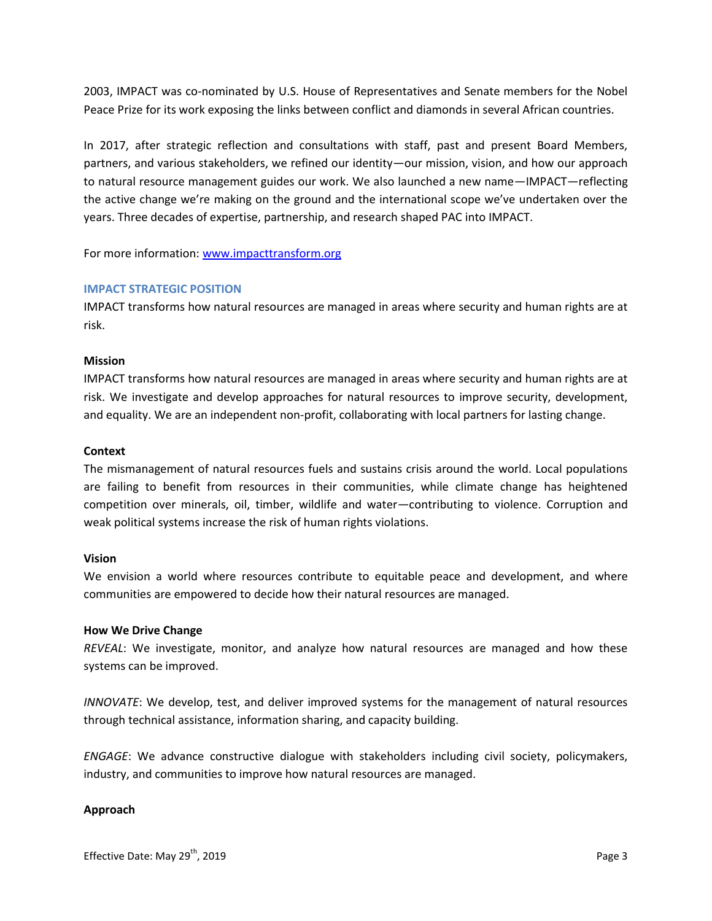2003, IMPACT was co-nominated by U.S. House of Representatives and Senate members for the Nobel Peace Prize for its work exposing the links between conflict and diamonds in several African countries.

In 2017, after strategic reflection and consultations with staff, past and present Board Members, partners, and various stakeholders, we refined our identity—our mission, vision, and how our approach to natural resource management guides our work. We also launched a new name—IMPACT—reflecting the active change we're making on the ground and the international scope we've undertaken over the years. Three decades of expertise, partnership, and research shaped PAC into IMPACT.

For more information: [www.impacttransform.org](http://www.impacttransform.org/)

#### <span id="page-2-0"></span>**IMPACT STRATEGIC POSITION**

IMPACT transforms how natural resources are managed in areas where security and human rights are at risk.

## **Mission**

IMPACT transforms how natural resources are managed in areas where security and human rights are at risk. We investigate and develop approaches for natural resources to improve security, development, and equality. We are an independent non-profit, collaborating with local partners for lasting change.

## **Context**

The mismanagement of natural resources fuels and sustains crisis around the world. Local populations are failing to benefit from resources in their communities, while climate change has heightened competition over minerals, oil, timber, wildlife and water—contributing to violence. Corruption and weak political systems increase the risk of human rights violations.

#### **Vision**

We envision a world where resources contribute to equitable peace and development, and where communities are empowered to decide how their natural resources are managed.

#### **How We Drive Change**

*REVEAL*: We investigate, monitor, and analyze how natural resources are managed and how these systems can be improved.

*INNOVATE*: We develop, test, and deliver improved systems for the management of natural resources through technical assistance, information sharing, and capacity building.

*ENGAGE*: We advance constructive dialogue with stakeholders including civil society, policymakers, industry, and communities to improve how natural resources are managed.

# **Approach**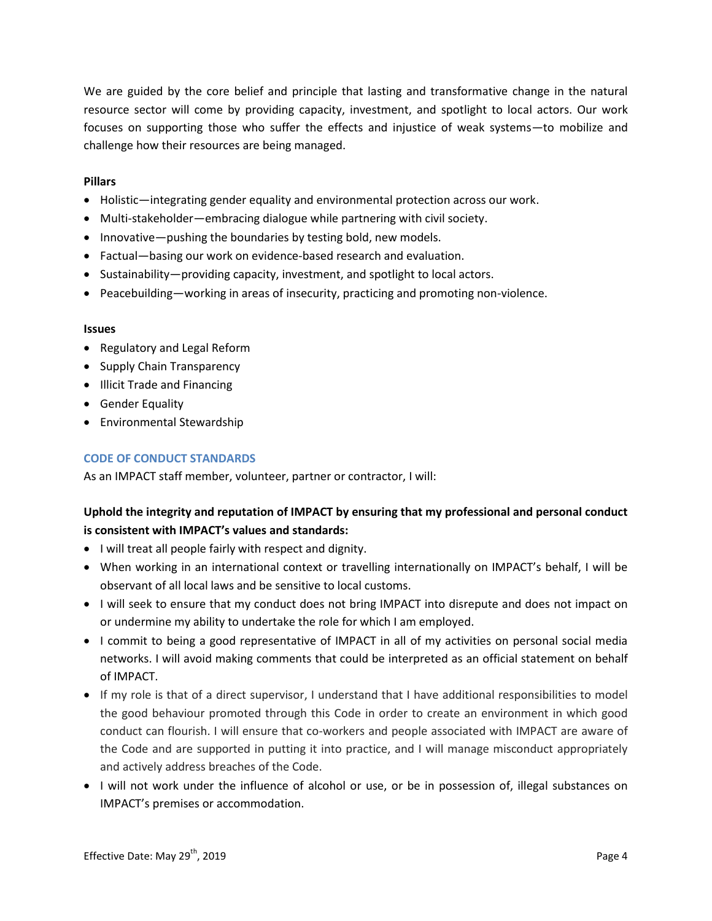We are guided by the core belief and principle that lasting and transformative change in the natural resource sector will come by providing capacity, investment, and spotlight to local actors. Our work focuses on supporting those who suffer the effects and injustice of weak systems—to mobilize and challenge how their resources are being managed.

# **Pillars**

- Holistic—integrating gender equality and environmental protection across our work.
- Multi-stakeholder—embracing dialogue while partnering with civil society.
- Innovative—pushing the boundaries by testing bold, new models.
- Factual—basing our work on evidence-based research and evaluation.
- Sustainability—providing capacity, investment, and spotlight to local actors.
- Peacebuilding—working in areas of insecurity, practicing and promoting non-violence.

#### **Issues**

- Regulatory and Legal Reform
- Supply Chain Transparency
- Illicit Trade and Financing
- **•** Gender Equality
- Environmental Stewardship

#### <span id="page-3-0"></span>**CODE OF CONDUCT STANDARDS**

As an IMPACT staff member, volunteer, partner or contractor, I will:

# **Uphold the integrity and reputation of IMPACT by ensuring that my professional and personal conduct is consistent with IMPACT's values and standards:**

- I will treat all people fairly with respect and dignity.
- When working in an international context or travelling internationally on IMPACT's behalf, I will be observant of all local laws and be sensitive to local customs.
- I will seek to ensure that my conduct does not bring IMPACT into disrepute and does not impact on or undermine my ability to undertake the role for which I am employed.
- I commit to being a good representative of IMPACT in all of my activities on personal social media networks. I will avoid making comments that could be interpreted as an official statement on behalf of IMPACT.
- If my role is that of a direct supervisor, I understand that I have additional responsibilities to model the good behaviour promoted through this Code in order to create an environment in which good conduct can flourish. I will ensure that co-workers and people associated with IMPACT are aware of the Code and are supported in putting it into practice, and I will manage misconduct appropriately and actively address breaches of the Code.
- I will not work under the influence of alcohol or use, or be in possession of, illegal substances on IMPACT's premises or accommodation.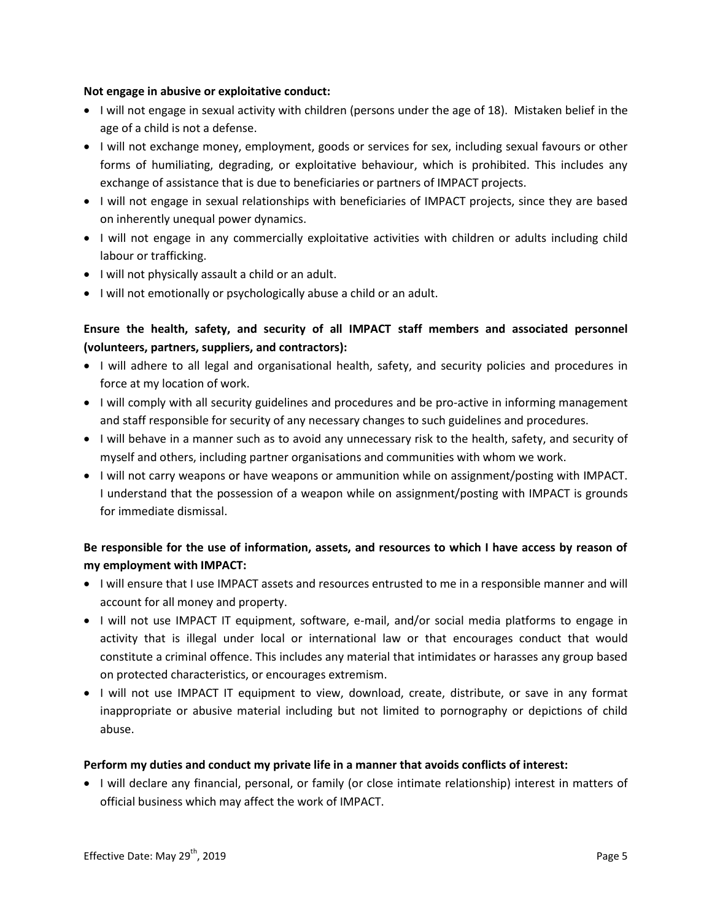## **Not engage in abusive or exploitative conduct:**

- I will not engage in sexual activity with children (persons under the age of 18). Mistaken belief in the age of a child is not a defense.
- I will not exchange money, employment, goods or services for sex, including sexual favours or other forms of humiliating, degrading, or exploitative behaviour, which is prohibited. This includes any exchange of assistance that is due to beneficiaries or partners of IMPACT projects.
- I will not engage in sexual relationships with beneficiaries of IMPACT projects, since they are based on inherently unequal power dynamics.
- I will not engage in any commercially exploitative activities with children or adults including child labour or trafficking.
- I will not physically assault a child or an adult.
- I will not emotionally or psychologically abuse a child or an adult.

# **Ensure the health, safety, and security of all IMPACT staff members and associated personnel (volunteers, partners, suppliers, and contractors):**

- I will adhere to all legal and organisational health, safety, and security policies and procedures in force at my location of work.
- I will comply with all security guidelines and procedures and be pro-active in informing management and staff responsible for security of any necessary changes to such guidelines and procedures.
- I will behave in a manner such as to avoid any unnecessary risk to the health, safety, and security of myself and others, including partner organisations and communities with whom we work.
- I will not carry weapons or have weapons or ammunition while on assignment/posting with IMPACT. I understand that the possession of a weapon while on assignment/posting with IMPACT is grounds for immediate dismissal.

# **Be responsible for the use of information, assets, and resources to which I have access by reason of my employment with IMPACT:**

- I will ensure that I use IMPACT assets and resources entrusted to me in a responsible manner and will account for all money and property.
- I will not use IMPACT IT equipment, software, e-mail, and/or social media platforms to engage in activity that is illegal under local or international law or that encourages conduct that would constitute a criminal offence. This includes any material that intimidates or harasses any group based on protected characteristics, or encourages extremism.
- I will not use IMPACT IT equipment to view, download, create, distribute, or save in any format inappropriate or abusive material including but not limited to pornography or depictions of child abuse.

# **Perform my duties and conduct my private life in a manner that avoids conflicts of interest:**

 I will declare any financial, personal, or family (or close intimate relationship) interest in matters of official business which may affect the work of IMPACT.